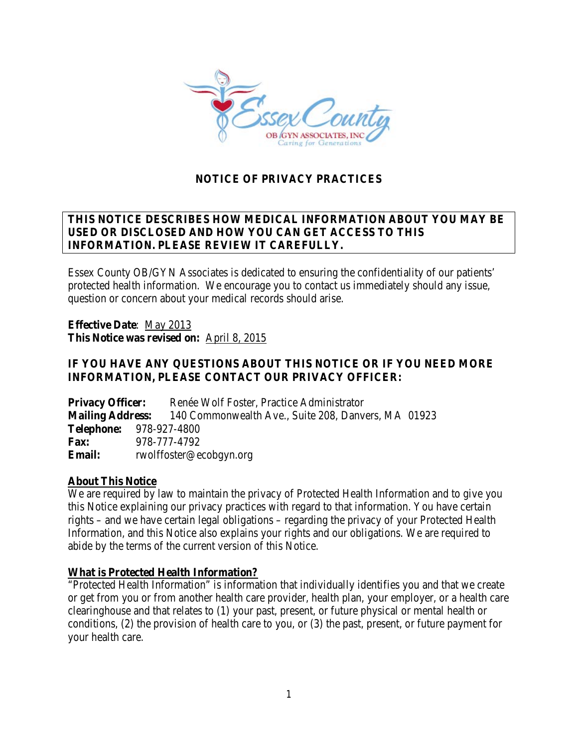

# **NOTICE OF PRIVACY PRACTICES**

# **THIS NOTICE DESCRIBES HOW MEDICAL INFORMATION ABOUT YOU MAY BE USED OR DISCLOSED AND HOW YOU CAN GET ACCESS TO THIS INFORMATION. PLEASE REVIEW IT CAREFULLY.**

Essex County OB/GYN Associates is dedicated to ensuring the confidentiality of our patients' protected health information. We encourage you to contact us immediately should any issue, question or concern about your medical records should arise.

**Effective Date**: May 2013 **This Notice was revised on:** April 8, 2015

## **IF YOU HAVE ANY QUESTIONS ABOUT THIS NOTICE OR IF YOU NEED MORE INFORMATION, PLEASE CONTACT OUR PRIVACY OFFICER:**

**Privacy Officer:** Renée Wolf Foster, Practice Administrator **Mailing Address:** 140 Commonwealth Ave., Suite 208, Danvers, MA 01923 **Telephone:** 978-927-4800 **Fax:** 978-777-4792 **Email:** rwolffoster@ecobgyn.org

#### **About This Notice**

We are required by law to maintain the privacy of Protected Health Information and to give you this Notice explaining our privacy practices with regard to that information. You have certain rights – and we have certain legal obligations – regarding the privacy of your Protected Health Information, and this Notice also explains your rights and our obligations. We are required to abide by the terms of the current version of this Notice.

#### **What is Protected Health Information?**

"Protected Health Information" is information that individually identifies you and that we create or get from you or from another health care provider, health plan, your employer, or a health care clearinghouse and that relates to (1) your past, present, or future physical or mental health or conditions, (2) the provision of health care to you, or (3) the past, present, or future payment for your health care.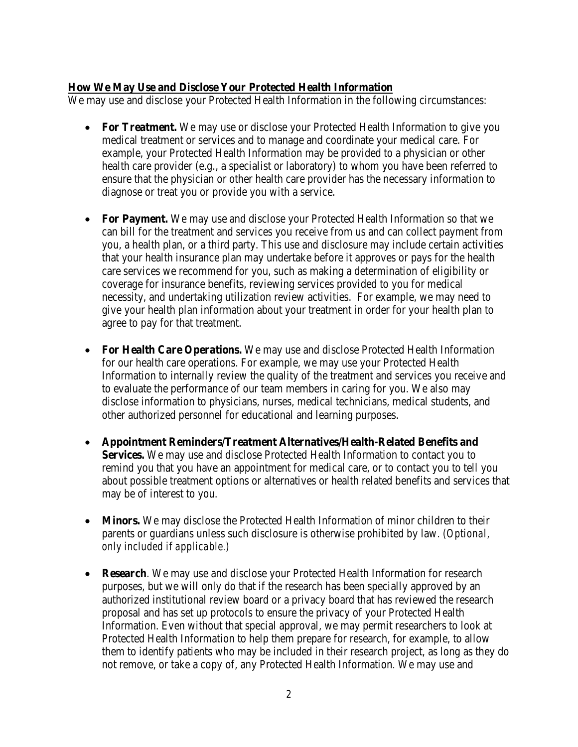#### **How We May Use and Disclose Your Protected Health Information**

We may use and disclose your Protected Health Information in the following circumstances:

- For Treatment. We may use or disclose your Protected Health Information to give you medical treatment or services and to manage and coordinate your medical care. For example, your Protected Health Information may be provided to a physician or other health care provider (e.g., a specialist or laboratory) to whom you have been referred to ensure that the physician or other health care provider has the necessary information to diagnose or treat you or provide you with a service.
- **For Payment.** We may use and disclose your Protected Health Information so that we can bill for the treatment and services you receive from us and can collect payment from you, a health plan, or a third party. This use and disclosure may include certain activities that your health insurance plan may undertake before it approves or pays for the health care services we recommend for you, such as making a determination of eligibility or coverage for insurance benefits, reviewing services provided to you for medical necessity, and undertaking utilization review activities. For example, we may need to give your health plan information about your treatment in order for your health plan to agree to pay for that treatment.
- **For Health Care Operations.** We may use and disclose Protected Health Information for our health care operations. For example, we may use your Protected Health Information to internally review the quality of the treatment and services you receive and to evaluate the performance of our team members in caring for you. We also may disclose information to physicians, nurses, medical technicians, medical students, and other authorized personnel for educational and learning purposes.
- **Appointment Reminders/Treatment Alternatives/Health-Related Benefits and Services.** We may use and disclose Protected Health Information to contact you to remind you that you have an appointment for medical care, or to contact you to tell you about possible treatment options or alternatives or health related benefits and services that may be of interest to you.
- **Minors.** We may disclose the Protected Health Information of minor children to their parents or guardians unless such disclosure is otherwise prohibited by law. *(Optional, only included if applicable.)*
- **Research**. We may use and disclose your Protected Health Information for research purposes, but we will only do that if the research has been specially approved by an authorized institutional review board or a privacy board that has reviewed the research proposal and has set up protocols to ensure the privacy of your Protected Health Information. Even without that special approval, we may permit researchers to look at Protected Health Information to help them prepare for research, for example, to allow them to identify patients who may be included in their research project, as long as they do not remove, or take a copy of, any Protected Health Information. We may use and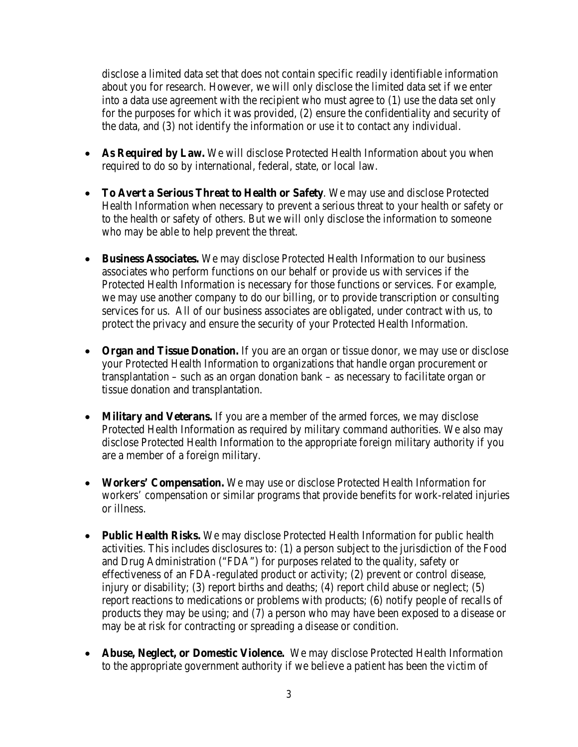disclose a limited data set that does not contain specific readily identifiable information about you for research. However, we will only disclose the limited data set if we enter into a data use agreement with the recipient who must agree to (1) use the data set only for the purposes for which it was provided, (2) ensure the confidentiality and security of the data, and (3) not identify the information or use it to contact any individual.

- **As Required by Law.** We will disclose Protected Health Information about you when required to do so by international, federal, state, or local law.
- **To Avert a Serious Threat to Health or Safety**. We may use and disclose Protected Health Information when necessary to prevent a serious threat to your health or safety or to the health or safety of others. But we will only disclose the information to someone who may be able to help prevent the threat.
- **Business Associates.** We may disclose Protected Health Information to our business associates who perform functions on our behalf or provide us with services if the Protected Health Information is necessary for those functions or services. For example, we may use another company to do our billing, or to provide transcription or consulting services for us. All of our business associates are obligated, under contract with us, to protect the privacy and ensure the security of your Protected Health Information.
- **Organ and Tissue Donation.** If you are an organ or tissue donor, we may use or disclose your Protected Health Information to organizations that handle organ procurement or transplantation – such as an organ donation bank – as necessary to facilitate organ or tissue donation and transplantation.
- **Military and Veterans.** If you are a member of the armed forces, we may disclose Protected Health Information as required by military command authorities. We also may disclose Protected Health Information to the appropriate foreign military authority if you are a member of a foreign military.
- **Workers' Compensation.** We may use or disclose Protected Health Information for workers' compensation or similar programs that provide benefits for work-related injuries or illness.
- **Public Health Risks.** We may disclose Protected Health Information for public health activities. This includes disclosures to: (1) a person subject to the jurisdiction of the Food and Drug Administration ("FDA") for purposes related to the quality, safety or effectiveness of an FDA-regulated product or activity; (2) prevent or control disease, injury or disability; (3) report births and deaths; (4) report child abuse or neglect; (5) report reactions to medications or problems with products; (6) notify people of recalls of products they may be using; and (7) a person who may have been exposed to a disease or may be at risk for contracting or spreading a disease or condition.
- **Abuse, Neglect, or Domestic Violence.** We may disclose Protected Health Information to the appropriate government authority if we believe a patient has been the victim of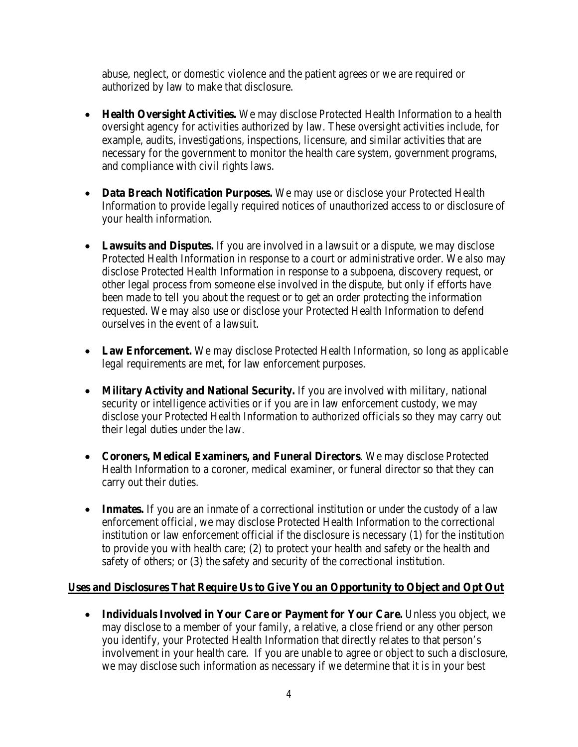abuse, neglect, or domestic violence and the patient agrees or we are required or authorized by law to make that disclosure.

- **Health Oversight Activities.** We may disclose Protected Health Information to a health oversight agency for activities authorized by law. These oversight activities include, for example, audits, investigations, inspections, licensure, and similar activities that are necessary for the government to monitor the health care system, government programs, and compliance with civil rights laws.
- **Data Breach Notification Purposes.** We may use or disclose your Protected Health Information to provide legally required notices of unauthorized access to or disclosure of your health information.
- **Lawsuits and Disputes.** If you are involved in a lawsuit or a dispute, we may disclose Protected Health Information in response to a court or administrative order. We also may disclose Protected Health Information in response to a subpoena, discovery request, or other legal process from someone else involved in the dispute, but only if efforts have been made to tell you about the request or to get an order protecting the information requested. We may also use or disclose your Protected Health Information to defend ourselves in the event of a lawsuit.
- Law Enforcement. We may disclose Protected Health Information, so long as applicable legal requirements are met, for law enforcement purposes.
- **Military Activity and National Security.** If you are involved with military, national security or intelligence activities or if you are in law enforcement custody, we may disclose your Protected Health Information to authorized officials so they may carry out their legal duties under the law.
- **Coroners, Medical Examiners, and Funeral Directors**. We may disclose Protected Health Information to a coroner, medical examiner, or funeral director so that they can carry out their duties.
- **Inmates.** If you are an inmate of a correctional institution or under the custody of a law enforcement official, we may disclose Protected Health Information to the correctional institution or law enforcement official if the disclosure is necessary (1) for the institution to provide you with health care; (2) to protect your health and safety or the health and safety of others; or (3) the safety and security of the correctional institution.

## **Uses and Disclosures That Require Us to Give You an Opportunity to Object and Opt Out**

• **Individuals Involved in Your Care or Payment for Your Care.** Unless you object, we may disclose to a member of your family, a relative, a close friend or any other person you identify, your Protected Health Information that directly relates to that person's involvement in your health care. If you are unable to agree or object to such a disclosure, we may disclose such information as necessary if we determine that it is in your best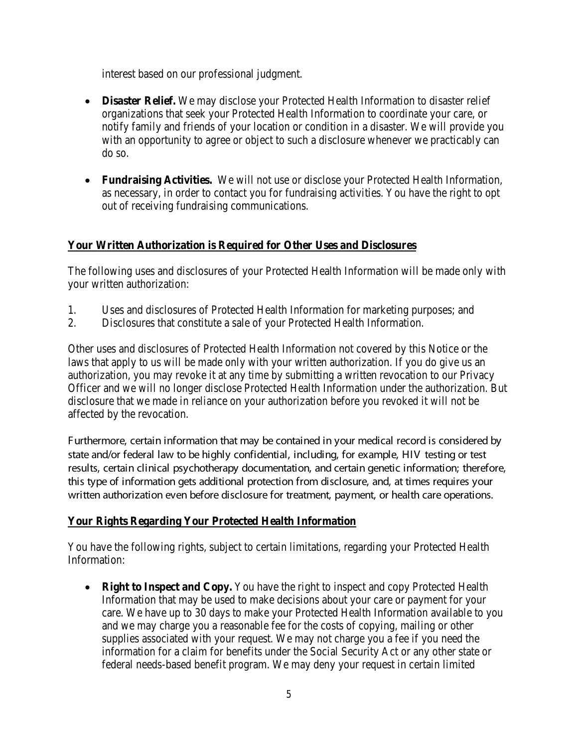interest based on our professional judgment.

- **Disaster Relief.** We may disclose your Protected Health Information to disaster relief organizations that seek your Protected Health Information to coordinate your care, or notify family and friends of your location or condition in a disaster. We will provide you with an opportunity to agree or object to such a disclosure whenever we practicably can do so.
- **Fundraising Activities.** We will not use or disclose your Protected Health Information, as necessary, in order to contact you for fundraising activities. You have the right to opt out of receiving fundraising communications.

# **Your Written Authorization is Required for Other Uses and Disclosures**

The following uses and disclosures of your Protected Health Information will be made only with your written authorization:

- 1. Uses and disclosures of Protected Health Information for marketing purposes; and
- 2. Disclosures that constitute a sale of your Protected Health Information.

Other uses and disclosures of Protected Health Information not covered by this Notice or the laws that apply to us will be made only with your written authorization. If you do give us an authorization, you may revoke it at any time by submitting a written revocation to our Privacy Officer and we will no longer disclose Protected Health Information under the authorization. But disclosure that we made in reliance on your authorization before you revoked it will not be affected by the revocation.

Furthermore, certain information that may be contained in your medical record is considered by state and/or federal law to be highly confidential, including, for example, HIV testing or test results, certain clinical psychotherapy documentation, and certain genetic information; therefore, this type of information gets additional protection from disclosure, and, at times requires your written authorization even before disclosure for treatment, payment, or health care operations.

## **Your Rights Regarding Your Protected Health Information**

You have the following rights, subject to certain limitations, regarding your Protected Health Information:

• **Right to Inspect and Copy.** You have the right to inspect and copy Protected Health Information that may be used to make decisions about your care or payment for your care. We have up to 30 days to make your Protected Health Information available to you and we may charge you a reasonable fee for the costs of copying, mailing or other supplies associated with your request. We may not charge you a fee if you need the information for a claim for benefits under the Social Security Act or any other state or federal needs-based benefit program. We may deny your request in certain limited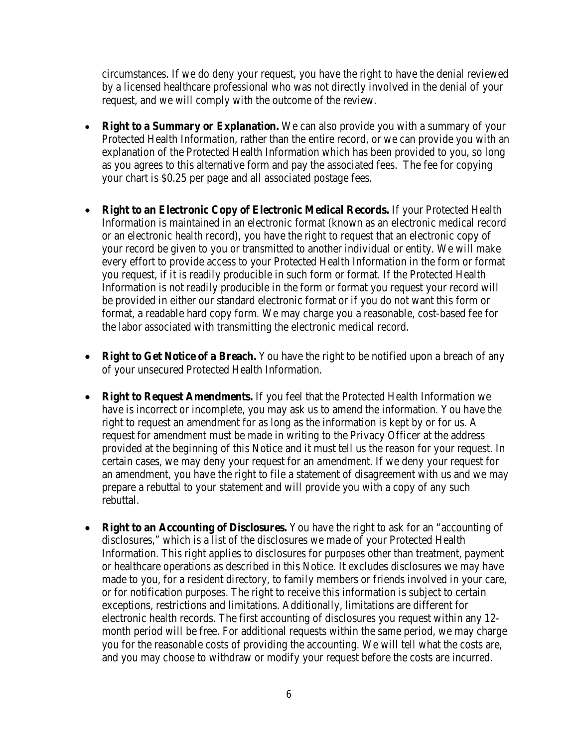circumstances. If we do deny your request, you have the right to have the denial reviewed by a licensed healthcare professional who was not directly involved in the denial of your request, and we will comply with the outcome of the review.

- **Right to a Summary or Explanation.** We can also provide you with a summary of your Protected Health Information, rather than the entire record, or we can provide you with an explanation of the Protected Health Information which has been provided to you, so long as you agrees to this alternative form and pay the associated fees. The fee for copying your chart is \$0.25 per page and all associated postage fees.
- **Right to an Electronic Copy of Electronic Medical Records.** If your Protected Health Information is maintained in an electronic format (known as an electronic medical record or an electronic health record), you have the right to request that an electronic copy of your record be given to you or transmitted to another individual or entity. We will make every effort to provide access to your Protected Health Information in the form or format you request, if it is readily producible in such form or format. If the Protected Health Information is not readily producible in the form or format you request your record will be provided in either our standard electronic format or if you do not want this form or format, a readable hard copy form*.* We may charge you a reasonable, cost-based fee for the labor associated with transmitting the electronic medical record.
- **Right to Get Notice of a Breach.** You have the right to be notified upon a breach of any of your unsecured Protected Health Information.
- **Right to Request Amendments.** If you feel that the Protected Health Information we have is incorrect or incomplete, you may ask us to amend the information. You have the right to request an amendment for as long as the information is kept by or for us. A request for amendment must be made in writing to the Privacy Officer at the address provided at the beginning of this Notice and it must tell us the reason for your request. In certain cases, we may deny your request for an amendment. If we deny your request for an amendment, you have the right to file a statement of disagreement with us and we may prepare a rebuttal to your statement and will provide you with a copy of any such rebuttal.
- **Right to an Accounting of Disclosures.** You have the right to ask for an "accounting of disclosures," which is a list of the disclosures we made of your Protected Health Information. This right applies to disclosures for purposes other than treatment, payment or healthcare operations as described in this Notice. It excludes disclosures we may have made to you, for a resident directory, to family members or friends involved in your care, or for notification purposes. The right to receive this information is subject to certain exceptions, restrictions and limitations. Additionally, limitations are different for electronic health records. The first accounting of disclosures you request within any 12 month period will be free. For additional requests within the same period, we may charge you for the reasonable costs of providing the accounting. We will tell what the costs are, and you may choose to withdraw or modify your request before the costs are incurred.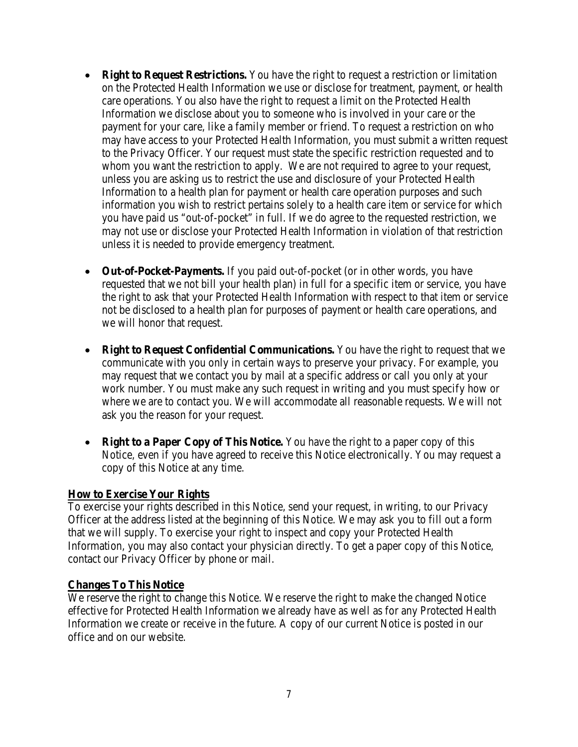- **Right to Request Restrictions.** You have the right to request a restriction or limitation on the Protected Health Information we use or disclose for treatment, payment, or health care operations. You also have the right to request a limit on the Protected Health Information we disclose about you to someone who is involved in your care or the payment for your care, like a family member or friend. To request a restriction on who may have access to your Protected Health Information, you must submit a written request to the Privacy Officer. Your request must state the specific restriction requested and to whom you want the restriction to apply. We are not required to agree to your request, unless you are asking us to restrict the use and disclosure of your Protected Health Information to a health plan for payment or health care operation purposes and such information you wish to restrict pertains solely to a health care item or service for which you have paid us "out-of-pocket" in full. If we do agree to the requested restriction, we may not use or disclose your Protected Health Information in violation of that restriction unless it is needed to provide emergency treatment.
- **Out-of-Pocket-Payments.** If you paid out-of-pocket (or in other words, you have requested that we not bill your health plan) in full for a specific item or service, you have the right to ask that your Protected Health Information with respect to that item or service not be disclosed to a health plan for purposes of payment or health care operations, and we will honor that request.
- **Right to Request Confidential Communications.** You have the right to request that we communicate with you only in certain ways to preserve your privacy. For example, you may request that we contact you by mail at a specific address or call you only at your work number. You must make any such request in writing and you must specify how or where we are to contact you. We will accommodate all reasonable requests. We will not ask you the reason for your request.
- **Right to a Paper Copy of This Notice.** You have the right to a paper copy of this Notice, even if you have agreed to receive this Notice electronically. You may request a copy of this Notice at any time.

## **How to Exercise Your Rights**

To exercise your rights described in this Notice, send your request, in writing, to our Privacy Officer at the address listed at the beginning of this Notice. We may ask you to fill out a form that we will supply. To exercise your right to inspect and copy your Protected Health Information, you may also contact your physician directly. To get a paper copy of this Notice, contact our Privacy Officer by phone or mail.

#### **Changes To This Notice**

We reserve the right to change this Notice. We reserve the right to make the changed Notice effective for Protected Health Information we already have as well as for any Protected Health Information we create or receive in the future. A copy of our current Notice is posted in our office and on our website.